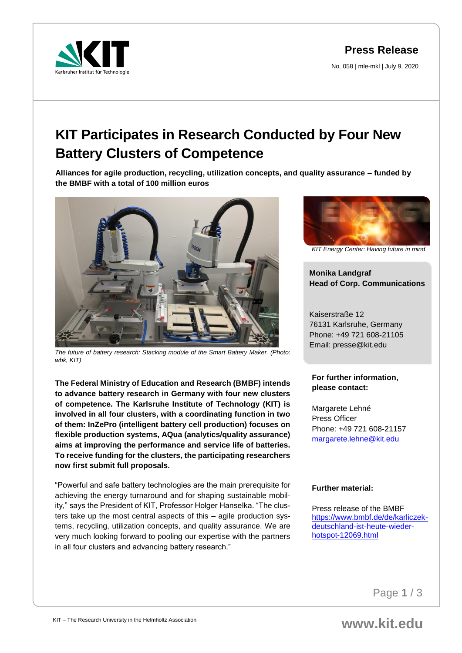**Press Release**

No. 058 | mle-mkl | July 9, 2020



# **KIT Participates in Research Conducted by Four New Battery Clusters of Competence**

**Alliances for agile production, recycling, utilization concepts, and quality assurance – funded by the BMBF with a total of 100 million euros**



*The future of battery research: Stacking module of the Smart Battery Maker. (Photo: wbk, KIT)*

**The Federal Ministry of Education and Research (BMBF) intends to advance battery research in Germany with four new clusters of competence. The Karlsruhe Institute of Technology (KIT) is involved in all four clusters, with a coordinating function in two of them: InZePro (intelligent battery cell production) focuses on flexible production systems, AQua (analytics/quality assurance) aims at improving the performance and service life of batteries. To receive funding for the clusters, the participating researchers now first submit full proposals.**

"Powerful and safe battery technologies are the main prerequisite for achieving the energy turnaround and for shaping sustainable mobility," says the President of KIT, Professor Holger Hanselka. "The clusters take up the most central aspects of this – agile production systems, recycling, utilization concepts, and quality assurance. We are very much looking forward to pooling our expertise with the partners in all four clusters and advancing battery research."



*KIT Energy Center: Having future in mind*

**Monika Landgraf Head of Corp. Communications**

Kaiserstraße 12 76131 Karlsruhe, Germany Phone: +49 721 608-21105 Email: presse@kit.edu

### **For further information, please contact:**

Margarete Lehné Press Officer Phone: +49 721 608-21157 [margarete.lehne@kit.edu](mailto:margarete.lehne@kit.edu)

## **Further material:**

Press release of the BMBF [https://www.bmbf.de/de/karliczek](https://www.bmbf.de/de/karliczek-deutschland-ist-heute-wieder-hotspot-12069.html)[deutschland-ist-heute-wieder](https://www.bmbf.de/de/karliczek-deutschland-ist-heute-wieder-hotspot-12069.html)[hotspot-12069.html](https://www.bmbf.de/de/karliczek-deutschland-ist-heute-wieder-hotspot-12069.html)

Page **1** / 3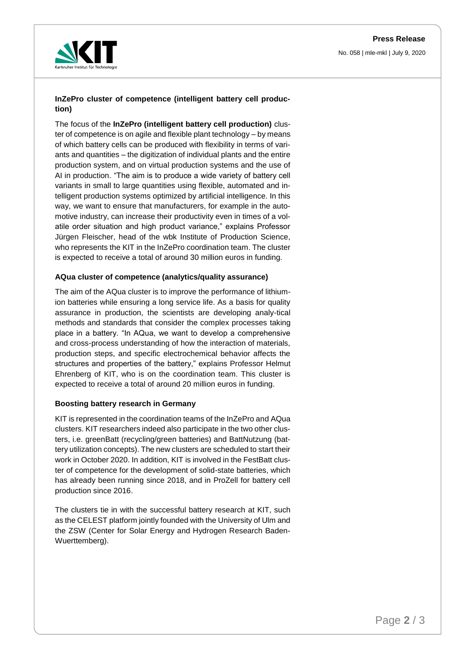

## **InZePro cluster of competence (intelligent battery cell production)**

The focus of the **InZePro (intelligent battery cell production)** cluster of competence is on agile and flexible plant technology – by means of which battery cells can be produced with flexibility in terms of variants and quantities – the digitization of individual plants and the entire production system, and on virtual production systems and the use of AI in production. "The aim is to produce a wide variety of battery cell variants in small to large quantities using flexible, automated and intelligent production systems optimized by artificial intelligence. In this way, we want to ensure that manufacturers, for example in the automotive industry, can increase their productivity even in times of a volatile order situation and high product variance," explains Professor Jürgen Fleischer, head of the wbk Institute of Production Science, who represents the KIT in the InZePro coordination team. The cluster is expected to receive a total of around 30 million euros in funding.

#### **AQua cluster of competence (analytics/quality assurance)**

The aim of the AQua cluster is to improve the performance of lithiumion batteries while ensuring a long service life. As a basis for quality assurance in production, the scientists are developing analy-tical methods and standards that consider the complex processes taking place in a battery. "In AQua, we want to develop a comprehensive and cross-process understanding of how the interaction of materials, production steps, and specific electrochemical behavior affects the structures and properties of the battery," explains Professor Helmut Ehrenberg of KIT, who is on the coordination team. This cluster is expected to receive a total of around 20 million euros in funding.

#### **Boosting battery research in Germany**

KIT is represented in the coordination teams of the InZePro and AQua clusters. KIT researchers indeed also participate in the two other clusters, i.e. greenBatt (recycling/green batteries) and BattNutzung (battery utilization concepts). The new clusters are scheduled to start their work in October 2020. In addition, KIT is involved in the FestBatt cluster of competence for the development of solid-state batteries, which has already been running since 2018, and in ProZell for battery cell production since 2016.

The clusters tie in with the successful battery research at KIT, such as the CELEST platform jointly founded with the University of Ulm and the ZSW (Center for Solar Energy and Hydrogen Research Baden-Wuerttemberg).